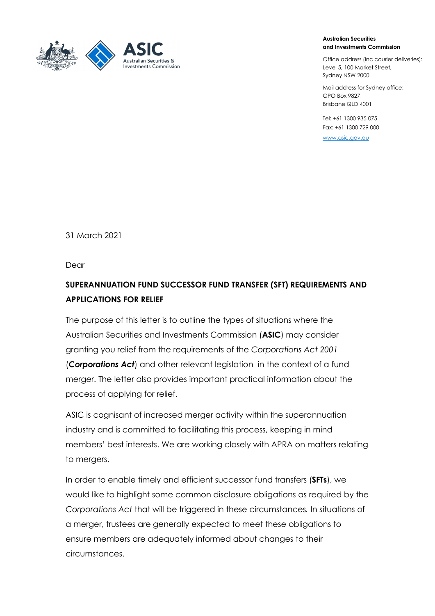

#### **Australian Securities and Investments Commission**

Office address (inc courier deliveries): Level 5, 100 Market Street, Sydney NSW 2000

Mail address for Sydney office: GPO Box 9827, Brisbane QLD 4001

Tel: +61 1300 935 075 Fax: +61 1300 729 000

[www.asic.gov.au](https://ecm.a1.asic.gov.au/activities/icimssuper/braa1/Meeting%20Minutes/www.asic.gov.au)

31 March 2021

Dear

# **SUPERANNUATION FUND SUCCESSOR FUND TRANSFER (SFT) REQUIREMENTS AND APPLICATIONS FOR RELIEF**

The purpose of this letter is to outline the types of situations where the Australian Securities and Investments Commission (**ASIC**) may consider granting you relief from the requirements of the *Corporations Act 2001* (*Corporations Act*) and other relevant legislation in the context of a fund merger. The letter also provides important practical information about the process of applying for relief.

ASIC is cognisant of increased merger activity within the superannuation industry and is committed to facilitating this process, keeping in mind members' best interests. We are working closely with APRA on matters relating to mergers.

In order to enable timely and efficient successor fund transfers (**SFTs**), we would like to highlight some common disclosure obligations as required by the *Corporations Act* that will be triggered in these circumstances*.* In situations of a merger, trustees are generally expected to meet these obligations to ensure members are adequately informed about changes to their circumstances.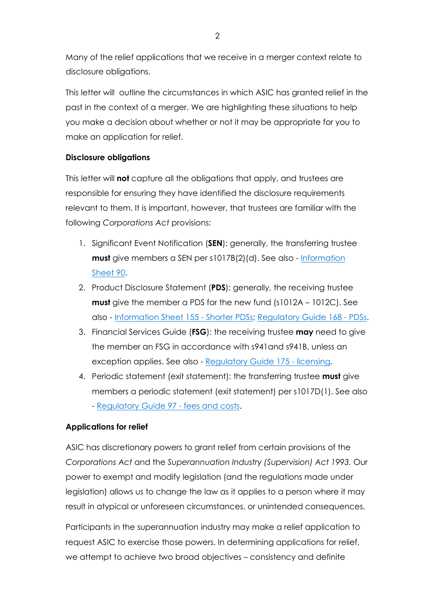Many of the relief applications that we receive in a merger context relate to disclosure obligations.

This letter will outline the circumstances in which ASIC has granted relief in the past in the context of a merger. We are highlighting these situations to help you make a decision about whether or not it may be appropriate for you to make an application for relief.

## **Disclosure obligations**

This letter will **not** capture all the obligations that apply, and trustees are responsible for ensuring they have identified the disclosure requirements relevant to them. It is important, however, that trustees are familiar with the following *Corporations Act* provisions:

- 1. Significant Event Notification (**SEN**): generally, the transferring trustee **must** give members a SEN per s1017B(2)(d). See also - [Information](https://asic.gov.au/regulatory-resources/superannuation-funds/superannuation-guidance-relief-and-legislative-instruments/notifying-members-about-superannuation-transfers-without-consent/) [Sheet 90.](https://asic.gov.au/regulatory-resources/superannuation-funds/superannuation-guidance-relief-and-legislative-instruments/notifying-members-about-superannuation-transfers-without-consent/)
- 2. Product Disclosure Statement (**PDS**): generally, the receiving trustee **must** give the member a PDS for the new fund (s1012A – 1012C). See also - [Information Sheet 155 - Shorter PDSs;](http://download.asic.gov.au/media/1338830/info155-published-27-November-2013.pdf) [Regulatory Guide 168 - PDSs.](https://download.asic.gov.au/media/5689951/rg168-published-28-october-2011-20200727.pdf)
- 3. Financial Services Guide (**FSG**): the receiving trustee **may** need to give the member an FSG in accordance with s941and s941B, unless an exception applies. See also - [Regulatory Guide 175 - licensing.](https://download.asic.gov.au/media/4698465/rg175-published-10-april-2018.pdf)
- 4. Periodic statement (exit statement): the transferring trustee **must** give members a periodic statement (exit statement) per s1017D(1). See also - [Regulatory Guide 97 - fees and costs.](https://asic.gov.au/regulatory-resources/find-a-document/regulatory-guides/rg-97-disclosing-fees-and-costs-in-pdss-and-periodic-statements/)

### **Applications for relief**

ASIC has discretionary powers to grant relief from certain provisions of the *Corporations Act* and the *Superannuation Industry (Supervision) Act 1993.* Our power to exempt and modify legislation (and the regulations made under legislation) allows us to change the law as it applies to a person where it may result in atypical or unforeseen circumstances, or unintended consequences.

Participants in the superannuation industry may make a relief application to request ASIC to exercise those powers. In determining applications for relief, we attempt to achieve two broad objectives – consistency and definite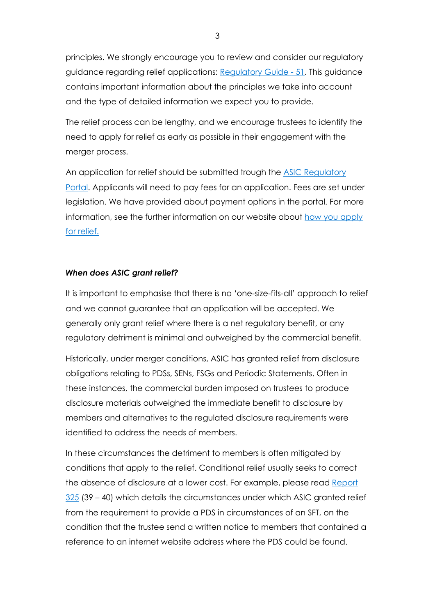principles. We strongly encourage you to review and consider our regulatory guidance regarding relief applications: [Regulatory Guide - 51.](https://download.asic.gov.au/media/5705408/rg51-published-27-july-2020.pdf) This guidance contains important information about the principles we take into account and the type of detailed information we expect you to provide.

The relief process can be lengthy, and we encourage trustees to identify the need to apply for relief as early as possible in their engagement with the merger process.

An application for relief should be submitted trough the [ASIC Regulatory](https://regulatoryportal.asic.gov.au/)  [Portal.](https://regulatoryportal.asic.gov.au/) Applicants will need to pay fees for an application. Fees are set under legislation. We have provided about payment options in the portal. For more information, see the further information on our website about [how you apply](https://asic.gov.au/about-asic/dealing-with-asic/apply-for-relief/changes-to-how-you-apply-for-relief/)  [for relief.](https://asic.gov.au/about-asic/dealing-with-asic/apply-for-relief/changes-to-how-you-apply-for-relief/)

#### *When does ASIC grant relief?*

It is important to emphasise that there is no 'one-size-fits-all' approach to relief and we cannot guarantee that an application will be accepted. We generally only grant relief where there is a net regulatory benefit, or any regulatory detriment is minimal and outweighed by the commercial benefit.

Historically, under merger conditions, ASIC has granted relief from disclosure obligations relating to PDSs, SENs, FSGs and Periodic Statements. Often in these instances, the commercial burden imposed on trustees to produce disclosure materials outweighed the immediate benefit to disclosure by members and alternatives to the regulated disclosure requirements were identified to address the needs of members.

In these circumstances the detriment to members is often mitigated by conditions that apply to the relief. Conditional relief usually seeks to correct the absence of disclosure at a lower cost. For example, please read Report [325](https://download.asic.gov.au/media/1344146/rep325-published-31-January-2013.pdf) (39 – 40) which details the circumstances under which ASIC granted relief from the requirement to provide a PDS in circumstances of an SFT, on the condition that the trustee send a written notice to members that contained a reference to an internet website address where the PDS could be found.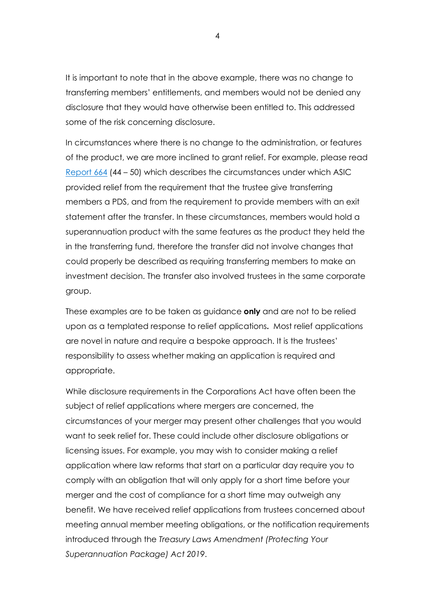It is important to note that in the above example, there was no change to transferring members' entitlements, and members would not be denied any disclosure that they would have otherwise been entitled to. This addressed some of the risk concerning disclosure.

In circumstances where there is no change to the administration, or features of the product, we are more inclined to grant relief. For example, please read [Report 664](https://download.asic.gov.au/media/5638843/rep664-published-23-june-2020.pdf) (44 – 50) which describes the circumstances under which ASIC provided relief from the requirement that the trustee give transferring members a PDS, and from the requirement to provide members with an exit statement after the transfer. In these circumstances, members would hold a superannuation product with the same features as the product they held the in the transferring fund, therefore the transfer did not involve changes that could properly be described as requiring transferring members to make an investment decision. The transfer also involved trustees in the same corporate group.

These examples are to be taken as guidance **only** and are not to be relied upon as a templated response to relief applications**.** Most relief applications are novel in nature and require a bespoke approach. It is the trustees' responsibility to assess whether making an application is required and appropriate.

While disclosure requirements in the Corporations Act have often been the subject of relief applications where mergers are concerned, the circumstances of your merger may present other challenges that you would want to seek relief for. These could include other disclosure obligations or licensing issues. For example, you may wish to consider making a relief application where law reforms that start on a particular day require you to comply with an obligation that will only apply for a short time before your merger and the cost of compliance for a short time may outweigh any benefit. We have received relief applications from trustees concerned about meeting annual member meeting obligations, or the notification requirements introduced through the *Treasury Laws Amendment (Protecting Your Superannuation Package) Act 2019*.

4